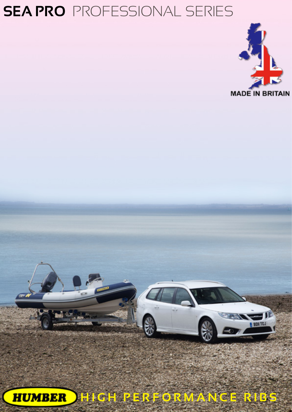## **SEA PRO** PROFESSIONAL SERIES



**HIGH PERFORMANCE RIBSHUMBER**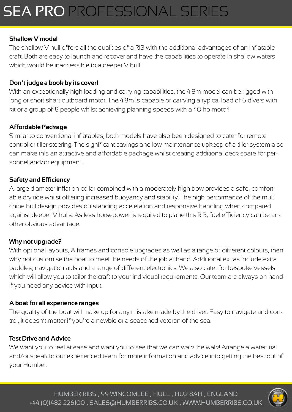# SEA PRO PROFESSIONAL SERIES

### **Shallow V model**

The shallow V hull offers all the qualities of a RIB with the additional advantages of an inflatable craft. Both are easy to launch and recover and have the capabilities to operate in shallow waters which would be inaccessible to a deeper V hull.

#### **Don't judge a book by its cover!**

With an exceptionally high loading and carrying capabilities, the 4.8m model can be rigged with long or short shaft outboard motor. The 4.8m is capable of carrying a typical load of 6 divers with kit or a group of 8 people whilst achieving planning speeds with a 40 hp motor!

### **Affordable Package**

Similar to conventional inflatables, both models have also been designed to cater for remote control or tiller steering. The significant savings and low maintenance upkeep of a tiller system also can make this an attractive and affordable package whilst creating additional deck spare for personnel and/or equipment.

#### **Safety and Efficiency**

A large diameter inflation collar combined with a moderately high bow provides a safe, comfortable dry ride whilst offering increased buoyancy and stability. The high performance of the multi chine hull design provides outstanding acceleration and responsive handling when compared against deeper V hulls. As less horsepower is required to plane this RIB, fuel efficiency can be another obvious advantage.

#### **Why not upgrade?**

With optional layouts, A frames and console upgrades as well as a range of different colours, then why not customise the boat to meet the needs of the job at hand. Additional extras include extra paddles, navigation aids and a range of different electronics. We also cater for bespoke vessels which will allow you to tailor the craft to your individual requirements. Our team are always on hand if you need any advice with input.

#### **A boat for all experience ranges**

The quality of the boat will make up for any mistake made by the driver. Easy to navigate and control, it doesn't matter if you're a newbie or a seasoned veteran of the sea.

#### **Test Drive and Advice**

We want you to feel at ease and want you to see that we can walk the walk! Arrange a water trial and/or speak to our experienced team for more information and advice into getting the best out of your Humber.

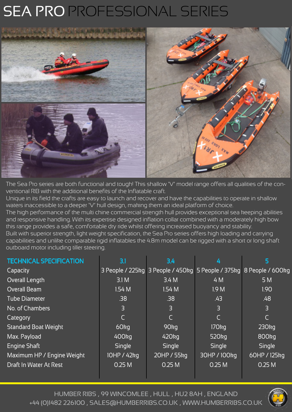# SEA PRO PROFESSIONAL SERIES



The Sea Pro series are both functional and tough! This shallow 'V' model range offers all qualities of the conventional RIB with the additional benefits of the Inflatable craft.

Unique in its field the crafts are easy to launch and recover and have the capabilities to operate in shallow waters inaccessible to a deeper 'V' hull design, making them an ideal platform of choice.

The high performance of the multi chine commercial strength hull provides exceptional sea keeping abilities and responsive handling. With its expertise designed inflation collar combined with a moderately high bow this range provides a safe, comfortable dry ride whilst offering increased buoyancy and stability. Built with superior strength, light weight specification, the Sea Pro series offers high loading and carrying

capabilities and unlike comparable rigid inflatables the 4.8m model can be rigged with a short or long shaft outboard motor including tiller steering.

| <b>TECHNICAL SPECIFICATION</b> | 3.1              | 3.4                                                                 | 4                 | 5                 |
|--------------------------------|------------------|---------------------------------------------------------------------|-------------------|-------------------|
| Capacity                       |                  | 3 People / 225kg 3 People / 450kg 5 People / 375kg 8 People / 600kg |                   |                   |
| Overall Length                 | 3.1 M            | 3.4M                                                                | 4 M               | 5 M               |
| <b>Overall Beam</b>            | 1.54M            | 1.54M                                                               | 1.9 <sub>M</sub>  | 1.90              |
| <b>Tube Diameter</b>           | .38              | .38                                                                 | .43               | .48               |
| No. of Chambers                | 3                | 3                                                                   | $\overline{3}$    | 3                 |
| Category                       | $\mathsf{C}$     | C                                                                   | C                 |                   |
| <b>Standard Boat Weight</b>    | 60 <sub>kg</sub> | 90 <sub>kg</sub>                                                    | 170 <sub>kg</sub> | 230kg             |
| Max. Payload                   | 400kg            | 420 <sub>kg</sub>                                                   | 520 <sub>kg</sub> | 800 <sub>kg</sub> |
| <b>Engine Shaft</b>            | Single           | <b>Single</b>                                                       | <b>Single</b>     | <b>Single</b>     |
| Maximum HP / Engine Weight     | 10HP / 42kg      | 20HP / 55kg                                                         | 30HP / 100kg      | 60HP / 125kg      |
| <b>Draft In Water At Rest</b>  | 0.25M            | 0.25M                                                               | 0.25M             | 0.25M             |